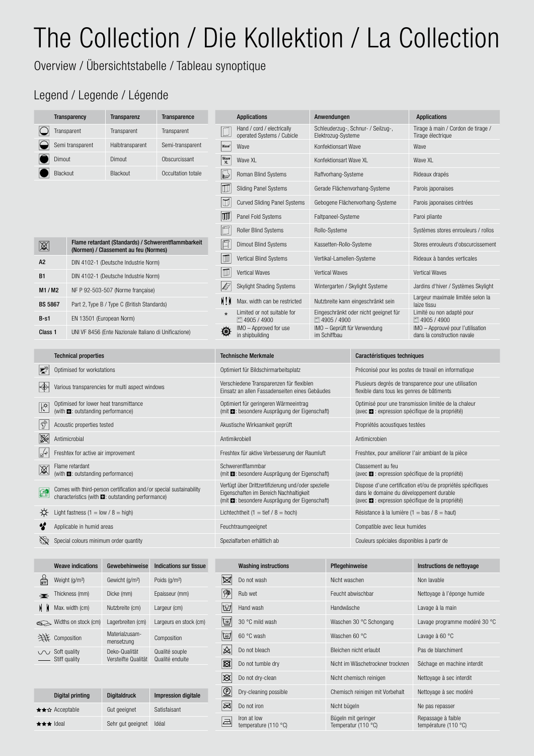## The Collection / Die Kollektion / La Collection

Overview / Übersichtstabelle / Tableau synoptique

## Legend / Legende / Légende

|                         | <b>Transparency</b>                                                                  | <b>Transparenz</b>                                    | <b>Transparence</b>                                                 |                   | <b>Applications</b>                                                                                                                                           | Anwendungen                                  |                                                                                                           | <b>Applications</b>                                              |  |  |  |  |  |
|-------------------------|--------------------------------------------------------------------------------------|-------------------------------------------------------|---------------------------------------------------------------------|-------------------|---------------------------------------------------------------------------------------------------------------------------------------------------------------|----------------------------------------------|-----------------------------------------------------------------------------------------------------------|------------------------------------------------------------------|--|--|--|--|--|
|                         | Transparent                                                                          | Transparent                                           | Transparent                                                         |                   | Hand / cord / electrically<br>operated Systems / Cubicle                                                                                                      | Elektrozug-Systeme                           | Schleuderzug-, Schnur- / Seilzug-,                                                                        | Tirage à main / Cordon de tirage /<br>Tirage électrique          |  |  |  |  |  |
|                         | Semi transparent                                                                     | Halbtransparent                                       | Semi-transparent                                                    | Wave <sup>®</sup> | Wave                                                                                                                                                          | Konfektionsart Wave                          |                                                                                                           | Wave                                                             |  |  |  |  |  |
|                         | Dimout                                                                               | Dimout                                                | Obscurcissant                                                       | Wave<br>XL        | Wave XL                                                                                                                                                       | Konfektionsart Wave XL                       |                                                                                                           | Wave XL                                                          |  |  |  |  |  |
|                         | Blackout                                                                             | Blackout                                              | Occultation totale                                                  | E                 | Roman Blind Systems                                                                                                                                           | Raffvorhang-Systeme                          |                                                                                                           | Rideaux drapés                                                   |  |  |  |  |  |
|                         |                                                                                      |                                                       |                                                                     | $ \mathbb{U} $    | <b>Sliding Panel Systems</b>                                                                                                                                  |                                              | Gerade Flächenvorhang-Systeme                                                                             | Parois japonaises                                                |  |  |  |  |  |
|                         |                                                                                      |                                                       |                                                                     | $\Box$            | <b>Curved Sliding Panel Systems</b>                                                                                                                           |                                              | Gebogene Flächenvorhang-Systeme                                                                           | Parois japonaises cintrées                                       |  |  |  |  |  |
|                         |                                                                                      |                                                       |                                                                     | w                 | Panel Fold Systems                                                                                                                                            | Faltpaneel-Systeme                           |                                                                                                           | Paroi pliante                                                    |  |  |  |  |  |
|                         |                                                                                      |                                                       |                                                                     |                   | <b>Roller Blind Systems</b>                                                                                                                                   | Rollo-Systeme                                |                                                                                                           | Systèmes stores enrouleurs / rollos                              |  |  |  |  |  |
| 溪                       |                                                                                      | (Normen) / Classement au feu (Normes)                 | Flame retardant (Standards) / Schwerentflammbarkeit                 | 百                 | <b>Dimout Blind Systems</b>                                                                                                                                   | Kassetten-Rollo-Systeme                      |                                                                                                           | Stores enrouleurs d'obscurcissement                              |  |  |  |  |  |
| A2                      |                                                                                      | DIN 4102-1 (Deutsche Industrie Norm)                  |                                                                     | $\blacksquare$    | Vertical Blind Systems                                                                                                                                        | Vertikal-Lamellen-Systeme                    |                                                                                                           | Rideaux à bandes verticales                                      |  |  |  |  |  |
| <b>B1</b>               |                                                                                      | DIN 4102-1 (Deutsche Industrie Norm)                  |                                                                     | w                 | Vertical Waves                                                                                                                                                | Vertical Waves                               |                                                                                                           | <b>Vertical Waves</b>                                            |  |  |  |  |  |
| M1/M2                   |                                                                                      | NF P 92-503-507 (Norme française)                     |                                                                     | È                 | <b>Skylight Shading Systems</b>                                                                                                                               |                                              | Wintergarten / Skylight Systeme                                                                           | Jardins d'hiver / Systèmes Skylight                              |  |  |  |  |  |
| <b>BS 5867</b>          |                                                                                      | Part 2, Type B / Type C (British Standards)           |                                                                     | ١ļ٢               | Max. width can be restricted                                                                                                                                  |                                              | Nutzbreite kann eingeschränkt sein                                                                        | Largeur maximale limitée selon la<br>laize tissu                 |  |  |  |  |  |
| $B-S1$                  | EN 13501 (European Norm)                                                             |                                                       |                                                                     | $\star$           | Limited or not suitable for<br>■4905 / 4900                                                                                                                   | □ 4905 / 4900                                | Eingeschränkt oder nicht geeignet für                                                                     | Limité ou non adapté pour<br>■ 4905 / 4900                       |  |  |  |  |  |
| Class 1                 |                                                                                      | UNI VF 8456 (Ente Nazionale Italiano di Unificazione) |                                                                     | 60                | IMO - Approved for use<br>in shipbuilding                                                                                                                     | IMO - Geprüft für Verwendung<br>im Schiffbau |                                                                                                           | IMO - Approuvé pour l'utilisation<br>dans la construction navale |  |  |  |  |  |
|                         |                                                                                      |                                                       |                                                                     |                   |                                                                                                                                                               |                                              |                                                                                                           |                                                                  |  |  |  |  |  |
|                         |                                                                                      |                                                       |                                                                     |                   |                                                                                                                                                               |                                              |                                                                                                           |                                                                  |  |  |  |  |  |
|                         | <b>Technical properties</b>                                                          |                                                       |                                                                     |                   | <b>Technische Merkmale</b>                                                                                                                                    |                                              | Caractéristiques techniques                                                                               |                                                                  |  |  |  |  |  |
| p                       | Optimised for workstations                                                           |                                                       |                                                                     |                   | Optimiert für Bildschirmarbeitsplatz                                                                                                                          |                                              |                                                                                                           | Préconisé pour les postes de travail en informatique             |  |  |  |  |  |
| ¦⊕                      | Various transparencies for multi aspect windows                                      |                                                       |                                                                     |                   | Verschiedene Transparenzen für flexiblen<br>Einsatz an allen Fassadenseiten eines Gebäudes                                                                    |                                              | flexible dans tous les genres de bâtiments                                                                | Plusieurs degrés de transparence pour une utilisation            |  |  |  |  |  |
| $\overline{\mathbb{X}}$ | Optimised for lower heat transmittance<br>(with <b>E.</b> : outstanding performance) |                                                       |                                                                     |                   | Optimiert für geringeren Wärmeeintrag<br>(mit <b>E</b> : besondere Ausprägung der Eigenschaft)                                                                |                                              | (avec $\blacksquare$ : expression spécifique de la propriété)                                             | Optimisé pour une transmission limitée de la chaleur             |  |  |  |  |  |
| ŷ                       | Acoustic properties tested                                                           |                                                       |                                                                     |                   | Akustische Wirksamkeit geprüft                                                                                                                                |                                              | Propriétés acoustiques testées                                                                            |                                                                  |  |  |  |  |  |
| 溪                       | Antimicrobial                                                                        |                                                       |                                                                     |                   | Antimikrobiell                                                                                                                                                |                                              | Antimicrobien                                                                                             |                                                                  |  |  |  |  |  |
| ∣⊮ূ                     | Freshtex for active air improvement                                                  |                                                       |                                                                     |                   | Freshtex für aktive Verbesserung der Raumluft                                                                                                                 |                                              |                                                                                                           | Freshtex, pour améliorer l'air ambiant de la pièce               |  |  |  |  |  |
| X                       | Flame retardant<br>(with $\blacksquare$ : outstanding performance)                   |                                                       |                                                                     |                   | Schwerentflammbar<br>(mit <b>E:</b> besondere Ausprägung der Eigenschaft)                                                                                     |                                              | Classement au feu<br>(avec $\blacksquare$ : expression spécifique de la propriété)                        |                                                                  |  |  |  |  |  |
|                         | characteristics (with <b>D</b> : outstanding performance)                            |                                                       | Comes with third-person certification and/or special sustainability |                   | Verfügt über Drittzertifizierung und/oder spezielle<br>Eigenschaften im Bereich Nachhaltigkeit<br>(mit $\blacksquare$ : besondere Ausprägung der Eigenschaft) |                                              | dans le domaine du développement durable<br>(avec $\blacksquare$ : expression spécifique de la propriété) | Dispose d'une certification et/ou de propriétés spécifiques      |  |  |  |  |  |
| ⇎                       | Light fastness $(1 = low / 8 = high)$                                                |                                                       |                                                                     |                   | Lichtechtheit $(1 = \text{tief} / 8 = \text{hoch})$                                                                                                           |                                              | Résistance à la lumière (1 = bas / 8 = haut)                                                              |                                                                  |  |  |  |  |  |
| Y                       | Applicable in humid areas                                                            |                                                       |                                                                     |                   | Feuchtraumgeeignet                                                                                                                                            |                                              | Compatible avec lieux humides                                                                             |                                                                  |  |  |  |  |  |
| $\mathbb{Q}$            | Special colours minimum order quantity                                               |                                                       |                                                                     |                   | Spezialfarben erhältlich ab                                                                                                                                   |                                              | Couleurs spéciales disponibles à partir de                                                                |                                                                  |  |  |  |  |  |
|                         |                                                                                      |                                                       |                                                                     |                   |                                                                                                                                                               |                                              |                                                                                                           |                                                                  |  |  |  |  |  |
|                         | <b>Weave indications</b>                                                             | Gewebehinweise                                        | <b>Indications sur tissue</b>                                       |                   | <b>Washing instructions</b>                                                                                                                                   | Pflegehinweise                               |                                                                                                           | Instructions de nettoyage                                        |  |  |  |  |  |

| $\frac{Q}{\mathsf{g}/\mathsf{m}^2}$ | Weight (g/m <sup>2</sup> ) | Gewicht (g/m <sup>2</sup> )  | Poids (g/m <sup>2</sup> )  | ⊠                          | Do not wash           | <b>Nicht</b> |
|-------------------------------------|----------------------------|------------------------------|----------------------------|----------------------------|-----------------------|--------------|
| $\overline{\mathbf{r}}$             | Thickness (mm)             | Dicke (mm)                   | Epaisseur (mm)             | °                          | Rub wet               | Feuch        |
| MК                                  | Max. width (cm)            | Nutzbreite (cm)              | Largeur (cm)               | $ \vec{\mathcal{L}}$ n $ $ | Hand wash             | Handy        |
|                                     | Widths on stock (cm)       | Lagerbreiten (cm)            | Largeurs en stock (cm)     | $\boxdot$                  | 30 °C mild wash       | Wasc         |
|                                     | 并 Composition              | Materialzusam-<br>mensetzung | Composition                | $ \widetilde{\mathbb{G}} $ | 60 °C wash            | Wasc         |
|                                     | <b>V</b> Soft quality      | Deko-Qualität                | Qualité souple             | $ \mathbb{A} $             | Do not bleach         | Bleich       |
|                                     | Stiff quality              | Versteifte Qualität          | Qualité enduite            | ⊠                          | Do not tumble dry     | <b>Nicht</b> |
|                                     |                            |                              |                            | $\otimes$                  | Do not dry-clean      | <b>Nicht</b> |
|                                     | Digital printing           | <b>Digitaldruck</b>          | <b>Impression digitale</b> | $\circledcirc$             | Dry-cleaning possible | Chem         |
|                                     | ★★☆ Accentable             | Gut geeignet                 | Satisfaisant               | ⊠                          | Do not iron           | <b>Nicht</b> |

| Digital printing | <b>Digitaldruck</b> | Impression digitale |
|------------------|---------------------|---------------------|
| r★☆ Acceptable   | Gut geeignet        | Satisfaisant        |
| r★★ Ideal        | Sehr gut geeignet   | Idéal               |

|     | Do not dry-clean                    |
|-----|-------------------------------------|
| (P) | Dry-cleaning possible               |
|     | Do not iron                         |
|     | Iron at low<br>temperature (110 °C) |

| <b>Washing instructions</b>         | Pflegehinweise                             | Instructions de nettoyage                  |
|-------------------------------------|--------------------------------------------|--------------------------------------------|
| Do not wash                         | Nicht waschen                              | Non lavable                                |
| Rub wet                             | Feucht abwischbar                          | Nettoyage à l'éponge humide                |
| Hand wash                           | Handwäsche                                 | Lavage à la main                           |
| 30 °C mild wash                     | Waschen 30 °C Schongang                    | Lavage programme modéré 30 °C              |
| 60 °C wash                          | Waschen 60 °C                              | Lavage à 60 °C                             |
| Do not bleach                       | Bleichen nicht erlaubt                     | Pas de blanchiment                         |
| Do not tumble dry                   | Nicht im Wäschetrockner trocknen           | Séchage en machine interdit                |
| Do not dry-clean                    | Nicht chemisch reinigen                    | Nettoyage à sec interdit                   |
| Dry-cleaning possible               | Chemisch reinigen mit Vorbehalt            | Nettoyage à sec modéré                     |
| Do not iron                         | Nicht bügeln                               | Ne pas repasser                            |
| Iron at low<br>temperature (110 °C) | Bügeln mit geringer<br>Temperatur (110 °C) | Repassage à faible<br>température (110 °C) |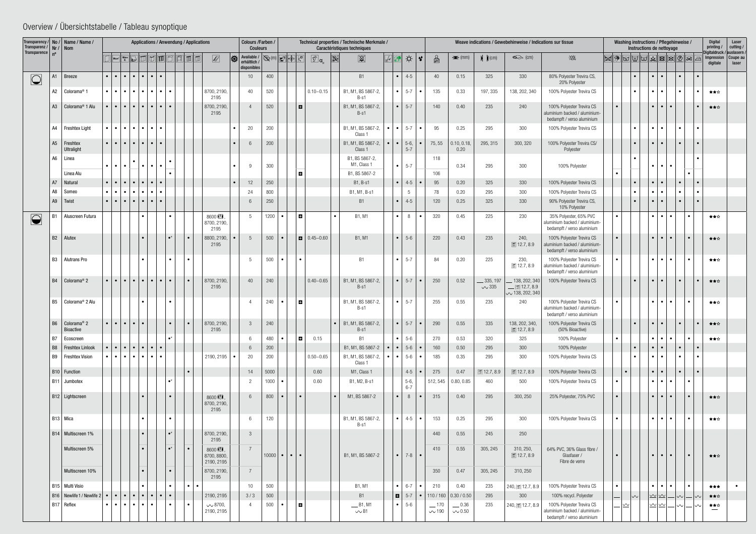| Transparency /<br>Transparenz / $\vert$ Nr / $\vert$ Nom<br>Transparence |                | $\sqrt{ \text{No} }$ Name / Name /            | Applications / Anwendung / Applications                                                                                                                                                           |                                                                           |           |                                                   |  |                   |                        |                                        | Colours /Farben /<br>Technical properties / Technische Merkmale /<br>Caractéristiques techniques<br><b>Couleurs</b> |                                       |           |           |                              |                               |  |                    |                                                   |                               | Weave indications / Gewebehinweise / Indications sur tissue |                           |                                                                   |                                                                                          |  |           |                | Washing instructions / Pflegehinweise /<br>printing /<br>Instructions de nettoyage                                                                                                                                                                                                                                                                                                                                                                                                                                                         |                                             |           |           |                        |                                                 |  |  |
|--------------------------------------------------------------------------|----------------|-----------------------------------------------|---------------------------------------------------------------------------------------------------------------------------------------------------------------------------------------------------|---------------------------------------------------------------------------|-----------|---------------------------------------------------|--|-------------------|------------------------|----------------------------------------|---------------------------------------------------------------------------------------------------------------------|---------------------------------------|-----------|-----------|------------------------------|-------------------------------|--|--------------------|---------------------------------------------------|-------------------------------|-------------------------------------------------------------|---------------------------|-------------------------------------------------------------------|------------------------------------------------------------------------------------------|--|-----------|----------------|--------------------------------------------------------------------------------------------------------------------------------------------------------------------------------------------------------------------------------------------------------------------------------------------------------------------------------------------------------------------------------------------------------------------------------------------------------------------------------------------------------------------------------------------|---------------------------------------------|-----------|-----------|------------------------|-------------------------------------------------|--|--|
|                                                                          |                |                                               |                                                                                                                                                                                                   | Wave<br>XL                                                                |           |                                                   |  |                   |                        | $ \odot $<br>Ø                         | Available / So (m) F<br>erhältlich<br>disponibles                                                                   |                                       |           |           | $\boxed{\mathbb{Z}}$ a       | $\boxtimes$<br><b>XX</b>      |  |                    | ☆<br>$\boldsymbol{\gamma}$                        | $\frac{\Omega}{\text{g/m}^3}$ | $\blacktriangleright$ (mm)                                  | $\bigcup$ (cm)            | $\Leftrightarrow$ (cm)                                            | 珠                                                                                        |  |           |                | $\mathbb{E} \left\lVert \left\lVert \mathbf{E} \right\rVert \right\rVert = \mathbb{E} \left\lVert \left\lVert \mathbf{E} \right\rVert \right\rVert = \mathbb{E} \left\lVert \mathbf{E} \right\rVert \right\rVert = \mathbb{E} \left\lVert \mathbf{E} \right\rVert \right\rVert = \mathbb{E} \left\lVert \mathbf{E} \right\rVert \left\lVert \mathbf{E} \right\rVert \right\rVert = \mathbb{E} \left\lVert \mathbf{E} \right\rVert \left\lVert \mathbf{E} \right\rVert \left\lVert \mathbf{E} \right\rVert \left\lVert \mathbf{E} \right\r$ |                                             |           |           | Impression<br>digitale | Digitaldruck / auslasern /<br>Coupe au<br>laser |  |  |
| $\bigcirc$                                                               | A1             | Breeze                                        | $\bullet$ $\bullet$                                                                                                                                                                               | $\bullet$                                                                 |           | $\bullet$ $\bullet$ $\bullet$ $\bullet$ $\bullet$ |  |                   |                        |                                        | 10                                                                                                                  | 400                                   |           |           |                              | <b>B1</b>                     |  | $\bullet$          | $4 - 5$                                           | 40                            | 0.15                                                        | 325                       | 330                                                               | 80% Polyester Trevira CS,<br>20% Polyester                                               |  |           |                | $\bullet$                                                                                                                                                                                                                                                                                                                                                                                                                                                                                                                                  | $\bullet$                                   | $\bullet$ |           |                        |                                                 |  |  |
|                                                                          | A2             | Colorama <sup>®</sup> 1                       | $\bullet$ $\bullet$ $\bullet$                                                                                                                                                                     | $\bullet$                                                                 |           | $\bullet\bullet\bullet\bullet\bullet\bullet$      |  |                   |                        | 8700, 2190,<br>2195                    | 40                                                                                                                  | 520                                   |           |           | $0.10 - 0.15$                | B1, M1, BS 5867-2,<br>$B-S1$  |  |                    | $\bullet$ 5-7<br>$\bullet$                        | 135                           | 0.33                                                        | 197, 335                  | 138, 202, 340                                                     | 100% Polyester Trevira CS                                                                |  |           | $\bullet$      | $\bullet$                                                                                                                                                                                                                                                                                                                                                                                                                                                                                                                                  | $\bullet$                                   | $\bullet$ |           | ★★☆                    |                                                 |  |  |
|                                                                          | A3             | Colorama <sup>®</sup> 1 Alu                   | $\bullet$ $\bullet$                                                                                                                                                                               | $  \bullet   \bullet   \bullet   \bullet   \bullet   \bullet   \bullet  $ |           |                                                   |  |                   |                        | 8700, 2190,<br>2195                    | $\overline{4}$                                                                                                      | 520                                   |           | l 81      |                              | B1, M1, BS 5867-2,<br>$B-S1$  |  |                    | $\bullet$ 5-7                                     | 140                           | 0.40                                                        | 235                       | 240                                                               | 100% Polyester Trevira CS<br>aluminium backed / aluminium-<br>bedampft / verso aluminium |  |           |                | $\bullet$                                                                                                                                                                                                                                                                                                                                                                                                                                                                                                                                  | $\bullet$                                   |           |           | ★★☆                    |                                                 |  |  |
|                                                                          | A4             | <b>Freshtex Light</b>                         | $\bullet$<br>∣•                                                                                                                                                                                   | $\bullet$                                                                 |           |                                                   |  |                   |                        |                                        | 20                                                                                                                  | 200                                   |           |           |                              | B1, M1, BS 5867-2,<br>Class 1 |  |                    | $\bullet$ 5-7                                     | 95                            | 0.25                                                        | 295                       | 300                                                               | 100% Polyester Trevira CS                                                                |  |           |                | $\bullet$                                                                                                                                                                                                                                                                                                                                                                                                                                                                                                                                  |                                             |           |           |                        |                                                 |  |  |
|                                                                          | A5             | Freshtex<br>Ultralight                        | $\bullet$ $\bullet$                                                                                                                                                                               | $\bullet$                                                                 | $\bullet$ | $\bullet$ $\bullet$ $\bullet$                     |  |                   |                        |                                        | -6                                                                                                                  | 200                                   |           |           |                              | B1, M1, BS 5867-2,<br>Class 1 |  |                    | $\bullet$ $\bullet$ 5-6,<br>$5 - 7$               | 75,55                         | 0.10, 0.18,<br>0.20                                         | 295, 315                  | 300, 320                                                          | 100% Polyester Trevira CS/<br>Polyester                                                  |  |           |                | $\bullet$                                                                                                                                                                                                                                                                                                                                                                                                                                                                                                                                  |                                             |           |           |                        |                                                 |  |  |
|                                                                          | A <sub>6</sub> | Linea                                         | $\bullet$ $\bullet$                                                                                                                                                                               | $\bullet$                                                                 |           | $\bullet$ 1<br>$\bullet$ $\bullet$                |  |                   |                        |                                        | 9                                                                                                                   | 300                                   |           |           |                              | B1, BS 5867-2,<br>M1, Class 1 |  |                    | $\bullet$ 5-7                                     | 118                           | 0.34                                                        | 295                       | 300                                                               | 100% Polyester                                                                           |  |           |                | $\bullet$                                                                                                                                                                                                                                                                                                                                                                                                                                                                                                                                  |                                             |           |           |                        |                                                 |  |  |
|                                                                          |                | Linea Alu                                     |                                                                                                                                                                                                   |                                                                           |           |                                                   |  |                   |                        |                                        |                                                                                                                     |                                       |           | l 8       |                              | B1, BS 5867-2                 |  |                    |                                                   | 106                           |                                                             |                           |                                                                   |                                                                                          |  |           |                |                                                                                                                                                                                                                                                                                                                                                                                                                                                                                                                                            |                                             |           |           |                        |                                                 |  |  |
|                                                                          | A7             | Natural                                       | $\bullet$ $\bullet$                                                                                                                                                                               | $\bullet$                                                                 | $\bullet$ | $\bullet$ 1<br>$\bullet$ 1                        |  |                   |                        |                                        | 12                                                                                                                  | 250                                   |           |           |                              | B1, B-s1                      |  |                    | $\bullet$ 4-5                                     | 95                            | 0.20                                                        | 325                       | 330                                                               | 100% Polyester Trevira CS                                                                |  |           | $\bullet$      | $\bullet$                                                                                                                                                                                                                                                                                                                                                                                                                                                                                                                                  |                                             | $\bullet$ | $\bullet$ |                        |                                                 |  |  |
|                                                                          | A8             | Someo                                         | $\bullet$ $\bullet$                                                                                                                                                                               | $\bullet$                                                                 | $\bullet$ | $\bullet$<br>$\bullet$ 1                          |  |                   |                        |                                        | 24                                                                                                                  | 800                                   |           |           |                              | B1, M1, B-s1                  |  |                    | -5                                                | 78                            | 0.20                                                        | 295                       | $300\,$                                                           | 100% Polyester Trevira CS                                                                |  |           |                | $\bullet$                                                                                                                                                                                                                                                                                                                                                                                                                                                                                                                                  |                                             |           |           |                        |                                                 |  |  |
|                                                                          | A9             | Twist                                         | $\bullet$ $\bullet$                                                                                                                                                                               | $\bullet$                                                                 |           | $\bullet$ $\bullet$ $\bullet$ $\bullet$           |  |                   |                        |                                        | 6                                                                                                                   | 250                                   |           |           |                              | <b>B1</b>                     |  | $\bullet$          | $4 - 5$                                           | 120                           | 0.25                                                        | 325                       | 330                                                               | 90% Polyester Trevira CS,<br>10% Polyester                                               |  |           |                | $\bullet$                                                                                                                                                                                                                                                                                                                                                                                                                                                                                                                                  |                                             |           |           |                        |                                                 |  |  |
| $\bigcirc$                                                               | <b>B1</b>      | Aluscreen Futura                              |                                                                                                                                                                                                   |                                                                           | $\bullet$ |                                                   |  |                   |                        | 8600 M!M.<br>8700, 2190,<br>2195       | 5                                                                                                                   | 1200                                  |           | l 81      |                              | B1. M1                        |  | $\bullet$          | 8<br>$\bullet$                                    | 320                           | 0.45                                                        | 225                       | 230                                                               | 35% Polyester, 65% PVC<br>aluminium backed / aluminium-<br>bedampft / verso aluminium    |  | $\bullet$ |                | $\bullet$ 1                                                                                                                                                                                                                                                                                                                                                                                                                                                                                                                                | $\bullet$<br>$\bullet$                      |           |           | ★★☆                    |                                                 |  |  |
|                                                                          | <b>B2</b>      | Alutex                                        |                                                                                                                                                                                                   |                                                                           | $\bullet$ |                                                   |  | $\bullet^*$       | $\bullet$              | 8800, 2190,<br>2195                    | 5                                                                                                                   | 500                                   |           |           | $\vert$ <b>D</b>   0.45-0.60 | B1, M1                        |  |                    | $\bullet$ 5-6                                     | 220                           | 0.43                                                        | 235                       | 240,<br>$\boxed{12.7, 8.9}$                                       | 100% Polyester Trevira CS<br>aluminium backed / aluminium-<br>bedampft / verso aluminium |  |           |                | $\bullet$                                                                                                                                                                                                                                                                                                                                                                                                                                                                                                                                  |                                             |           | $\bullet$ | ★★☆                    |                                                 |  |  |
|                                                                          | B3             | <b>Alutrans Pro</b>                           |                                                                                                                                                                                                   |                                                                           |           |                                                   |  |                   | $\bullet$              |                                        | .5                                                                                                                  | 500                                   |           | $\bullet$ |                              | <b>B1</b>                     |  |                    | $\bullet$ 5-7                                     | 84                            | 0.20                                                        | 225                       | 230,<br>$\text{12.7}, 8.9$                                        | 100% Polyester Trevira CS<br>aluminium backed / aluminium-<br>bedampft / verso aluminium |  | $\bullet$ |                | $\bullet$                                                                                                                                                                                                                                                                                                                                                                                                                                                                                                                                  | $\bullet$                                   |           | $\bullet$ | ★★☆                    |                                                 |  |  |
|                                                                          | <b>B4</b>      | Colorama <sup>®</sup> 2                       | l.                                                                                                                                                                                                | $\bullet$                                                                 | $\bullet$ | $ \bullet \bullet \bullet $                       |  | $\bullet$         | $\bullet$              | 8700, 2190,<br>2195                    | 40                                                                                                                  | 240                                   |           |           | $0.40 - 0.65$                | B1, M1, BS 5867-2,<br>$B-S1$  |  |                    | $\bullet$ 5-7<br>$\bullet$                        | 250                           | 0.52                                                        | $-335, 197$<br>$\sim$ 335 | 138, 202, 340<br>$\blacksquare$ 12.7, 8.9<br>$\sim$ 138, 202, 340 | 100% Polyester Trevira CS                                                                |  |           |                | $\bullet$                                                                                                                                                                                                                                                                                                                                                                                                                                                                                                                                  |                                             |           |           | ★★☆                    |                                                 |  |  |
|                                                                          | B5             | Colorama <sup>®</sup> 2 Alu                   |                                                                                                                                                                                                   |                                                                           |           |                                                   |  |                   |                        |                                        |                                                                                                                     | 240                                   |           | l 8       |                              | B1, M1, BS 5867-2,<br>$B-S1$  |  |                    | $\bullet$ 5-7                                     | 255                           | 0.55                                                        | 235                       | 240                                                               | 100% Polyester Trevira CS<br>aluminium backed / aluminium-<br>bedampft / verso aluminium |  | $\bullet$ |                | $\bullet$                                                                                                                                                                                                                                                                                                                                                                                                                                                                                                                                  | $\bullet$                                   |           |           | ★★☆                    |                                                 |  |  |
|                                                                          |                | $  B6  $ Colorama <sup>®</sup> 2<br>Bioactive | $\bullet \hspace{0.2cm} \bullet \hspace{0.2cm} \bullet \hspace{0.2cm} \bullet \hspace{0.2cm} \bullet \hspace{0.2cm} \bullet \hspace{0.2cm} \bullet \hspace{0.2cm} \bullet \hspace{0.2cm} \bullet$ |                                                                           |           |                                                   |  | $\bullet$         | $\bullet$              | 8700, 2190,<br>2195                    | $\mathbf{3}$                                                                                                        | 240                                   |           |           |                              | B1, M1, BS 5867-2,<br>$B-S1$  |  |                    | • $5-7$<br>∣• ∣                                   | 290                           | 0.55                                                        | 335                       | 138, 202, 340,<br>12.7, 8.9                                       | 100% Polyester Trevira CS<br>(50% Bioactive)                                             |  |           |                | $\bullet$                                                                                                                                                                                                                                                                                                                                                                                                                                                                                                                                  | $\bullet$                                   | $\bullet$ |           | ★★☆                    |                                                 |  |  |
|                                                                          | <b>B7</b>      | Ecoscreen                                     |                                                                                                                                                                                                   |                                                                           |           |                                                   |  |                   |                        |                                        | 6                                                                                                                   | 480                                   |           | 1 G I     | 0.15                         | <b>B1</b>                     |  | $\bullet$ $\vdash$ | $5-6$                                             | 270                           | 0.53                                                        | 320                       | 325                                                               | 100% Polyester                                                                           |  | $\bullet$ |                | $\bullet$                                                                                                                                                                                                                                                                                                                                                                                                                                                                                                                                  | $\bullet$                                   |           | $\bullet$ | ★★☆                    |                                                 |  |  |
|                                                                          | <b>B8</b>      | Freshtex Linlook                              | $\cdot$ $\cdot$                                                                                                                                                                                   | $\bullet$                                                                 |           | $\bullet$ $\bullet$ $\bullet$ $\bullet$           |  |                   |                        |                                        | 6                                                                                                                   | 200                                   |           |           |                              | B1, M1, BS 5867-2             |  | $\bullet$          | $\Big  5-6$                                       | 160                           | 0.50                                                        | 295                       | 300                                                               | 100% Polyester                                                                           |  |           | $\bullet$      | $\bullet$                                                                                                                                                                                                                                                                                                                                                                                                                                                                                                                                  | $\bullet$                                   | $\bullet$ |           |                        |                                                 |  |  |
|                                                                          |                | B9 Freshtex Vision                            | .                                                                                                                                                                                                 |                                                                           |           |                                                   |  |                   |                        | 2190, 2195<br>$\bullet$                | 20                                                                                                                  | 200                                   |           |           | $0.50 - 0.65$                | B1, M1, BS 5867-2,<br>Class 1 |  |                    | $\bullet$   $\bullet$   5-6<br>$\bullet$          | 185                           | 0.35                                                        | 295                       | 300                                                               | 100% Polyester Trevira CS                                                                |  |           |                | $\bullet$                                                                                                                                                                                                                                                                                                                                                                                                                                                                                                                                  | $\bullet$                                   | $\bullet$ |           |                        |                                                 |  |  |
|                                                                          |                | B10   Function                                |                                                                                                                                                                                                   |                                                                           |           |                                                   |  |                   | $\bullet$              |                                        | 14                                                                                                                  | 5000                                  |           |           | 0.60                         | M1, Class 1                   |  |                    | $4 - 5$<br>$\bullet$                              | 275                           | 0.47                                                        | $\boxed{12.7, 8.9}$       | 12.7, 8.9                                                         | 100% Polyester Trevira CS                                                                |  |           | $\bullet$      | $\bullet$                                                                                                                                                                                                                                                                                                                                                                                                                                                                                                                                  | $\bullet$                                   | $\bullet$ | ∣ ∙       |                        |                                                 |  |  |
|                                                                          |                | B11   Jumbotex                                |                                                                                                                                                                                                   |                                                                           |           |                                                   |  | $\bullet^{\star}$ |                        |                                        | 2                                                                                                                   | 1000                                  |           |           | 0.60                         | B1, M2, B-s1                  |  |                    | $5-6,$<br>$6 - 7$                                 | 512, 545                      | 0.80, 0.85                                                  | 460                       | 500                                                               | 100% Polyester Trevira CS                                                                |  | $\bullet$ |                | $\bullet$ 1                                                                                                                                                                                                                                                                                                                                                                                                                                                                                                                                | $\bullet$<br>$\bullet$                      |           | $\bullet$ |                        |                                                 |  |  |
|                                                                          |                | B12   Lightscreen                             |                                                                                                                                                                                                   |                                                                           | $\bullet$ |                                                   |  | $\bullet$         |                        | 8600 N.M.<br>8700, 2190,<br>2195       | 6                                                                                                                   | 800                                   | $\bullet$ | $\bullet$ |                              | M1, BS 5867-2                 |  | $\bullet$ 1        | 8<br>$\bullet$                                    | 315                           | 0.40                                                        | 295                       | 300, 250                                                          | 25% Polyester, 75% PVC                                                                   |  | $\bullet$ |                | $\bullet$                                                                                                                                                                                                                                                                                                                                                                                                                                                                                                                                  | $\bullet$<br>$\bullet$                      |           | $\bullet$ | ★★☆                    |                                                 |  |  |
|                                                                          | B13   Mica     |                                               |                                                                                                                                                                                                   |                                                                           |           |                                                   |  | $\bullet$         |                        |                                        | 6                                                                                                                   | 120                                   |           |           |                              | B1, M1, BS 5867-2,<br>B-s1    |  |                    | $\bullet$ 4-5<br>$\bullet$                        | 153                           | 0.25                                                        | 295                       | 300                                                               | 100% Polyester Trevira CS                                                                |  | $\bullet$ |                | $\bullet$                                                                                                                                                                                                                                                                                                                                                                                                                                                                                                                                  | $\bullet$                                   |           | $\bullet$ | ★★☆                    |                                                 |  |  |
|                                                                          |                | B14   Multiscreen 1%                          |                                                                                                                                                                                                   |                                                                           | $\bullet$ |                                                   |  | $\bullet^*$       |                        | 8700, 2190,<br>2195                    | 3                                                                                                                   |                                       |           |           |                              |                               |  |                    |                                                   | 440                           | 0.55                                                        | 245                       | 250                                                               |                                                                                          |  |           |                |                                                                                                                                                                                                                                                                                                                                                                                                                                                                                                                                            |                                             |           |           |                        |                                                 |  |  |
|                                                                          |                | Multiscreen 5%                                |                                                                                                                                                                                                   |                                                                           | $\bullet$ |                                                   |  | $\bullet^*$       | $\bullet$              | 8600 N.M.<br>8700, 8800,<br>2190, 2195 | 7                                                                                                                   | $10000$ $\bullet$ $\bullet$ $\bullet$ |           |           |                              | B1, M1, BS 5867-2             |  |                    | $\bullet$   7-8<br>$\bullet$                      | 410                           | 0.55                                                        | 305, 245                  | 310, 250,<br>$\boxed{12.7, 8.9}$                                  | 64% PVC, 36% Glass fibre /<br>Glasfaser /<br>Fibre de verre                              |  |           |                | $\bullet$                                                                                                                                                                                                                                                                                                                                                                                                                                                                                                                                  | $\bullet$<br>$\bullet$                      |           | $\bullet$ | ★★☆                    |                                                 |  |  |
|                                                                          |                | Multiscreen 10%                               |                                                                                                                                                                                                   |                                                                           | $\bullet$ |                                                   |  |                   |                        | 8700, 2190,<br>2195                    | $\overline{7}$                                                                                                      |                                       |           |           |                              |                               |  |                    |                                                   | 350                           | 0.47                                                        | 305, 245                  | 310, 250                                                          |                                                                                          |  |           |                |                                                                                                                                                                                                                                                                                                                                                                                                                                                                                                                                            |                                             |           |           |                        |                                                 |  |  |
|                                                                          |                | B15   Multi Visio                             |                                                                                                                                                                                                   |                                                                           |           |                                                   |  |                   | $\bullet$<br>$\bullet$ |                                        | 10                                                                                                                  | 500                                   |           |           |                              | B1, M1                        |  | $\bullet$          | $6-7$<br>$\bullet$                                | 210                           | 0.40                                                        | 235                       | 240, 12.7, 8.9                                                    | 100% Polyester Trevira CS                                                                |  |           |                | $\bullet$                                                                                                                                                                                                                                                                                                                                                                                                                                                                                                                                  | $\bullet$<br>$\bullet$                      |           | $\bullet$ | ***                    | $\bullet$                                       |  |  |
|                                                                          |                | $ B16 $ Newlife 1 / Newlife 2 $\bullet$       | $\bullet$                                                                                                                                                                                         | $\bullet$                                                                 | $\bullet$ | $ \bullet  \bullet  $                             |  |                   |                        | 2190, 2195                             | 3/3                                                                                                                 | 500                                   |           |           |                              | <b>B1</b>                     |  |                    | $\begin{array}{ c c c }\n\hline\n\end{array}$ 5-7 |                               | $\bullet$   110/160   0.30/0.50                             | 295                       | 300                                                               | 100% recycl. Polyester                                                                   |  |           | $ \mathsf{W} $ |                                                                                                                                                                                                                                                                                                                                                                                                                                                                                                                                            | $ \underline{\infty}  \underline{\infty}  $ |           |           | ★★☆                    |                                                 |  |  |
|                                                                          |                | B17 Reflex                                    | .                                                                                                                                                                                                 |                                                                           |           |                                                   |  | $\bullet$         | $\bullet$              | $\sim$ 8700,<br>2190, 2195             | $\overline{4}$                                                                                                      | 500                                   |           | E.        |                              | $\_B1, M1$<br>$\sim$ B1       |  |                    | • $5-6$                                           | $-170$<br>$\sim$ 190          | $-0.36$<br>$\sim 0.50$                                      | 235                       | $240,$ 12.7, 8.9                                                  | 100% Polyester Trevira CS<br>aluminium backed / aluminium-<br>bedampft / verso aluminium |  |           | ∽u             |                                                                                                                                                                                                                                                                                                                                                                                                                                                                                                                                            | $\omega$ $\omega$                           |           |           | ★★☆<br>$\sim$          |                                                 |  |  |

## Overview / Übersichtstabelle / Tableau synoptique